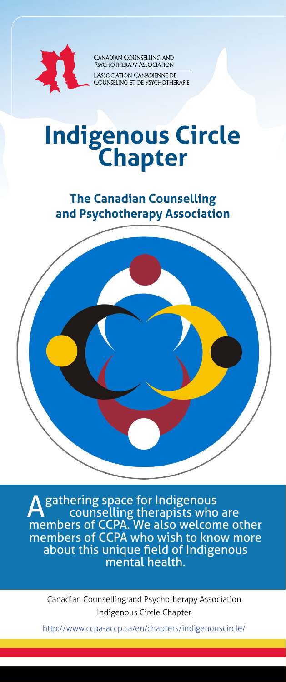

Canadian Counselling and<br>Psychotherapy Association -<br>L'Association Canadienne de<br>Counseling et de Psychothérapie

# **Indigenous Circle Chapter**

**The Canadian Counselling and Psychotherapy Association**



A gathering space for Indigenous<br>counselling therapists who are members of CCPA. We also welcome other members of CCPA who wish to know more about this unique field of Indigenous mental health.

Canadian Counselling and Psychotherapy Association Indigenous Circle Chapter

http://www.ccpa-accp.ca/en/chapters/indigenouscircle/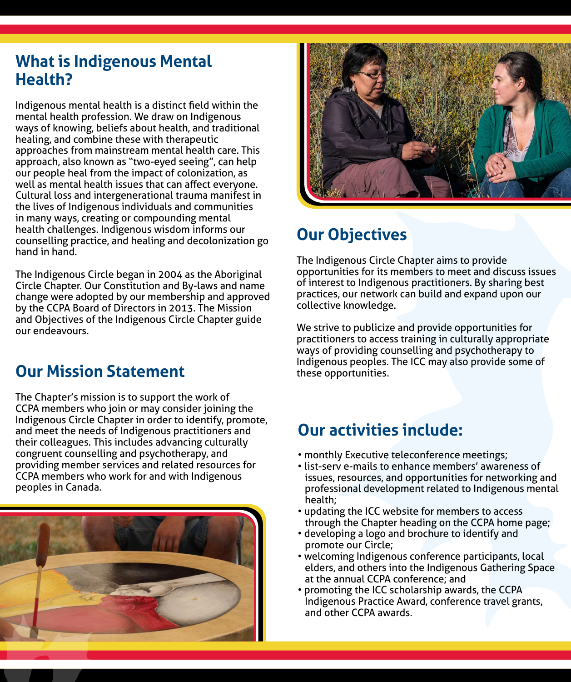## **What is Indigenous Mental Health?**

Indigenous mental health is a distinct field within the mental health profession. We draw on Indigenous ways of knowing, beliefs about health, and traditional healing, and combine these with therapeutic approaches from mainstream mental health care. This approach, also known as "two-eyed seeing", can help our people heal from the impact of colonization, as well as mental health issues that can affect everyone. Cultural loss and intergenerational trauma manifest in the lives of Indigenous individuals and communities in many ways, creating or compounding mental health challenges. Indigenous wisdom informs our counselling practice, and healing and decolonization go hand in hand.

The Indigenous Circle began in 2004 as the Aboriginal Circle Chapter. Our Constitution and By-laws and name change were adopted by our membership and approved by the CCPA Board of Directors in 2013. The Mission and Objectives of the Indigenous Circle Chapter guide our endeavours.

## **Our Mission Statement**

The Chapter's mission is to support the work of CCPA members who join or may consider joining the Indigenous Circle Chapter in order to identify, promote, and meet the needs of Indigenous practitioners and their colleagues. This includes advancing culturally congruent counselling and psychotherapy, and providing member services and related resources for CCPA members who work for and with Indigenous peoples in Canada.





# **Our Objectives**

The Indigenous Circle Chapter aims to provide opportunities for its members to meet and discuss issues of interest to Indigenous practitioners. By sharing best practices, our network can build and expand upon our collective knowledge.

We strive to publicize and provide opportunities for practitioners to access training in culturally appropriate ways of providing counselling and psychotherapy to Indigenous peoples. The ICC may also provide some of these opportunities.

## **Our activities include:**

- monthly Executive teleconference meetings;
- list-serv e-mails to enhance members' awareness of issues, resources, and opportunities for networking and professional development related to Indigenous mental health;
- updating the ICC website for members to access through the Chapter heading on the CCPA home page;
- developing a logo and brochure to identify and promote our Circle;
- welcoming Indigenous conference participants, local elders, and others into the Indigenous Gathering Space at the annual CCPA conference; and
- promoting the ICC scholarship awards, the CCPA Indigenous Practice Award, conference travel grants, and other CCPA awards.